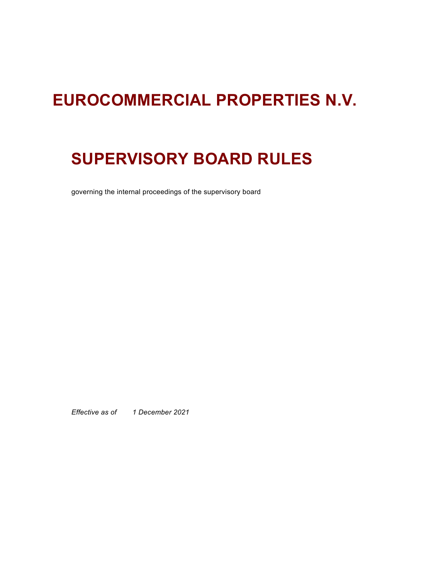# **EUROCOMMERCIAL PROPERTIES N.V.**

# **SUPERVISORY BOARD RULES**

governing the internal proceedings of the supervisory board

*Effective as of 1 December 2021*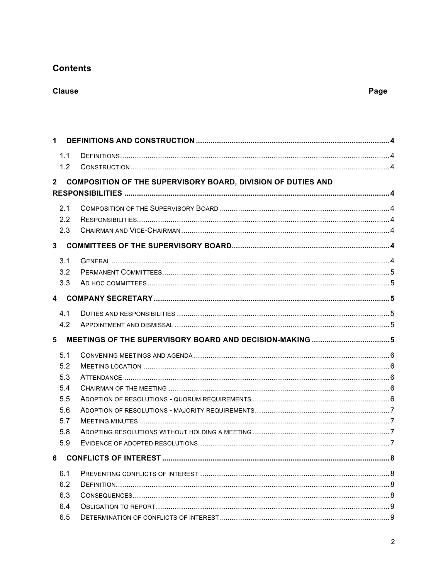# **Contents**

# **Clause**

| 1              |                                                                     |  |
|----------------|---------------------------------------------------------------------|--|
| 1.1            |                                                                     |  |
| 1.2            |                                                                     |  |
| $2^{\circ}$    | <b>COMPOSITION OF THE SUPERVISORY BOARD, DIVISION OF DUTIES AND</b> |  |
|                |                                                                     |  |
|                |                                                                     |  |
| 2.1<br>2.2     |                                                                     |  |
| 2.3            |                                                                     |  |
|                |                                                                     |  |
| 3 <sup>1</sup> |                                                                     |  |
| 3.1            |                                                                     |  |
| 3.2            |                                                                     |  |
| 3.3            |                                                                     |  |
|                |                                                                     |  |
| 4.1            |                                                                     |  |
| 4.2            |                                                                     |  |
|                |                                                                     |  |
|                |                                                                     |  |
| 5              |                                                                     |  |
| 5.1            |                                                                     |  |
| 5.2            |                                                                     |  |
| 5.3            |                                                                     |  |
| 5.4            |                                                                     |  |
| 5.5            |                                                                     |  |
| 5.6            |                                                                     |  |
| 5.7            |                                                                     |  |
| 5.8            |                                                                     |  |
| 5.9            |                                                                     |  |
| 6              |                                                                     |  |
| 6.1            |                                                                     |  |
| 6.2            |                                                                     |  |
| 6.3            |                                                                     |  |
| 6.4            |                                                                     |  |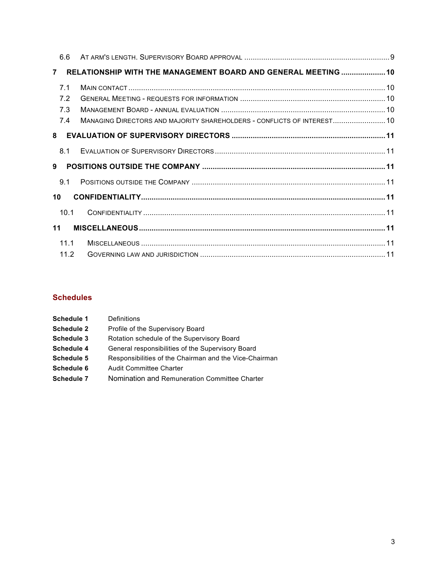| 6.6            |              |                                                                         |  |
|----------------|--------------|-------------------------------------------------------------------------|--|
| $\overline{7}$ |              | RELATIONSHIP WITH THE MANAGEMENT BOARD AND GENERAL MEETING  10          |  |
| 7.1            |              |                                                                         |  |
| 7.2            |              |                                                                         |  |
| 7.3            |              |                                                                         |  |
| 7.4            |              | MANAGING DIRECTORS AND MAJORITY SHAREHOLDERS - CONFLICTS OF INTEREST 10 |  |
| 8              |              |                                                                         |  |
| 8.1            |              |                                                                         |  |
| 9              |              |                                                                         |  |
| 9.1            |              |                                                                         |  |
| 10             |              |                                                                         |  |
|                | 10.1         |                                                                         |  |
| 11             |              |                                                                         |  |
|                | 11.1<br>11.2 |                                                                         |  |

# **Schedules**

| <b>Schedule 1</b> | Definitions                                            |
|-------------------|--------------------------------------------------------|
| <b>Schedule 2</b> | Profile of the Supervisory Board                       |
| <b>Schedule 3</b> | Rotation schedule of the Supervisory Board             |
| <b>Schedule 4</b> | General responsibilities of the Supervisory Board      |
| <b>Schedule 5</b> | Responsibilities of the Chairman and the Vice-Chairman |
| Schedule 6        | <b>Audit Committee Charter</b>                         |
| <b>Schedule 7</b> | Nomination and Remuneration Committee Charter          |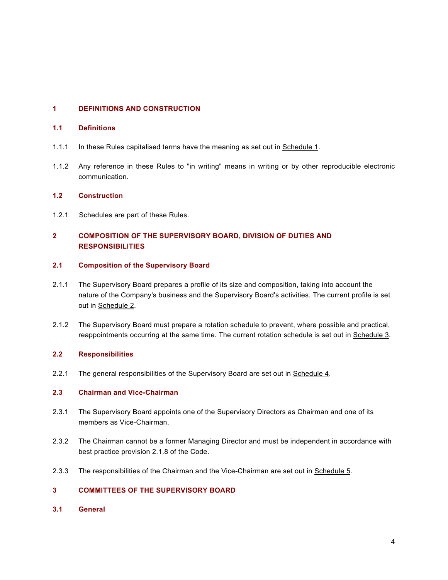## <span id="page-3-0"></span>**1 DEFINITIONS AND CONSTRUCTION**

#### <span id="page-3-1"></span>**1.1 Definitions**

- 1.1.1 In these Rules capitalised terms have the meaning as set out in [Schedule 1.](#page-12-0)
- 1.1.2 Any reference in these Rules to "in writing" means in writing or by other reproducible electronic communication.

#### <span id="page-3-2"></span>**1.2 Construction**

1.2.1 Schedules are part of these Rules.

## <span id="page-3-3"></span>**2 COMPOSITION OF THE SUPERVISORY BOARD, DIVISION OF DUTIES AND RESPONSIBILITIES**

## <span id="page-3-4"></span>**2.1 Composition of the Supervisory Board**

- 2.1.1 The Supervisory Board prepares a profile of its size and composition, taking into account the nature of the Company's business and the Supervisory Board's activities. The current profile is set out in [Schedule 2.](#page-13-0)
- 2.1.2 The Supervisory Board must prepare a rotation schedule to prevent, where possible and practical, reappointments occurring at the same time. The current rotation schedule is set out in [Schedule 3.](#page-14-0)

### <span id="page-3-5"></span>**2.2 Responsibilities**

2.2.1 The general responsibilities of the Supervisory Board are set out in [Schedule 4.](#page-15-0)

## <span id="page-3-6"></span>**2.3 Chairman and Vice-Chairman**

- <span id="page-3-9"></span>2.3.1 The Supervisory Board appoints one of the Supervisory Directors as Chairman and one of its members as Vice-Chairman.
- 2.3.2 The Chairman cannot be a former Managing Director and must be independent in accordance with best practice provision 2.1.8 of the Code.
- 2.3.3 The responsibilities of the Chairman and the Vice-Chairman are set out in [Schedule 5.](#page-17-0)

## <span id="page-3-7"></span>**3 COMMITTEES OF THE SUPERVISORY BOARD**

<span id="page-3-8"></span>**3.1 General**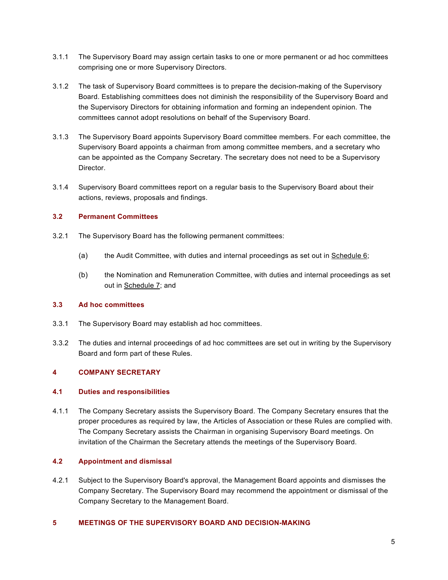- 3.1.1 The Supervisory Board may assign certain tasks to one or more permanent or ad hoc committees comprising one or more Supervisory Directors.
- 3.1.2 The task of Supervisory Board committees is to prepare the decision-making of the Supervisory Board. Establishing committees does not diminish the responsibility of the Supervisory Board and the Supervisory Directors for obtaining information and forming an independent opinion. The committees cannot adopt resolutions on behalf of the Supervisory Board.
- 3.1.3 The Supervisory Board appoints Supervisory Board committee members. For each committee, the Supervisory Board appoints a chairman from among committee members, and a secretary who can be appointed as the Company Secretary. The secretary does not need to be a Supervisory Director.
- 3.1.4 Supervisory Board committees report on a regular basis to the Supervisory Board about their actions, reviews, proposals and findings.

## <span id="page-4-0"></span>**3.2 Permanent Committees**

- <span id="page-4-7"></span><span id="page-4-6"></span>3.2.1 The Supervisory Board has the following permanent committees:
	- (a) the Audit Committee, with duties and internal proceedings as set out in [Schedule 6;](#page-19-0)
	- (b) the Nomination and Remuneration Committee, with duties and internal proceedings as set out in [Schedule 7;](#page-22-0) and

## <span id="page-4-8"></span><span id="page-4-1"></span>**3.3 Ad hoc committees**

- 3.3.1 The Supervisory Board may establish ad hoc committees.
- 3.3.2 The duties and internal proceedings of ad hoc committees are set out in writing by the Supervisory Board and form part of these Rules.

### <span id="page-4-2"></span>**4 COMPANY SECRETARY**

### <span id="page-4-3"></span>**4.1 Duties and responsibilities**

4.1.1 The Company Secretary assists the Supervisory Board. The Company Secretary ensures that the proper procedures as required by law, the Articles of Association or these Rules are complied with. The Company Secretary assists the Chairman in organising Supervisory Board meetings. On invitation of the Chairman the Secretary attends the meetings of the Supervisory Board.

## <span id="page-4-4"></span>**4.2 Appointment and dismissal**

4.2.1 Subject to the Supervisory Board's approval, the Management Board appoints and dismisses the Company Secretary. The Supervisory Board may recommend the appointment or dismissal of the Company Secretary to the Management Board.

#### <span id="page-4-5"></span>**5 MEETINGS OF THE SUPERVISORY BOARD AND DECISION-MAKING**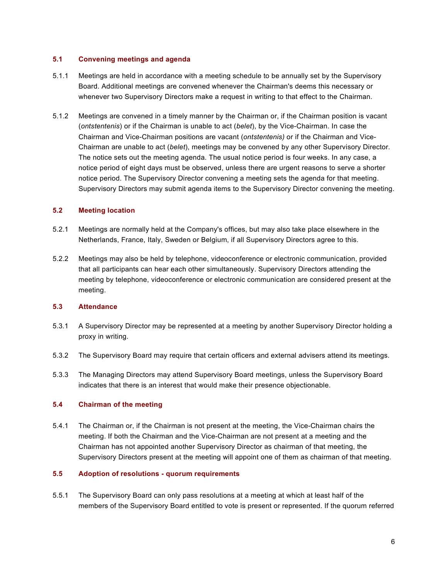#### <span id="page-5-0"></span>**5.1 Convening meetings and agenda**

- 5.1.1 Meetings are held in accordance with a meeting schedule to be annually set by the Supervisory Board. Additional meetings are convened whenever the Chairman's deems this necessary or whenever two Supervisory Directors make a request in writing to that effect to the Chairman.
- 5.1.2 Meetings are convened in a timely manner by the Chairman or, if the Chairman position is vacant (*ontstentenis*) or if the Chairman is unable to act (*belet*), by the Vice-Chairman. In case the Chairman and Vice-Chairman positions are vacant (*ontstentenis)* or if the Chairman and Vice-Chairman are unable to act (*belet*), meetings may be convened by any other Supervisory Director. The notice sets out the meeting agenda. The usual notice period is four weeks. In any case, a notice period of eight days must be observed, unless there are urgent reasons to serve a shorter notice period. The Supervisory Director convening a meeting sets the agenda for that meeting. Supervisory Directors may submit agenda items to the Supervisory Director convening the meeting.

### <span id="page-5-1"></span>**5.2 Meeting location**

- 5.2.1 Meetings are normally held at the Company's offices, but may also take place elsewhere in the Netherlands, France, Italy, Sweden or Belgium, if all Supervisory Directors agree to this.
- 5.2.2 Meetings may also be held by telephone, videoconference or electronic communication, provided that all participants can hear each other simultaneously. Supervisory Directors attending the meeting by telephone, videoconference or electronic communication are considered present at the meeting.

## <span id="page-5-2"></span>**5.3 Attendance**

- 5.3.1 A Supervisory Director may be represented at a meeting by another Supervisory Director holding a proxy in writing.
- 5.3.2 The Supervisory Board may require that certain officers and external advisers attend its meetings.
- 5.3.3 The Managing Directors may attend Supervisory Board meetings, unless the Supervisory Board indicates that there is an interest that would make their presence objectionable.

### <span id="page-5-3"></span>**5.4 Chairman of the meeting**

5.4.1 The Chairman or, if the Chairman is not present at the meeting, the Vice-Chairman chairs the meeting. If both the Chairman and the Vice-Chairman are not present at a meeting and the Chairman has not appointed another Supervisory Director as chairman of that meeting, the Supervisory Directors present at the meeting will appoint one of them as chairman of that meeting.

#### <span id="page-5-4"></span>**5.5 Adoption of resolutions - quorum requirements**

5.5.1 The Supervisory Board can only pass resolutions at a meeting at which at least half of the members of the Supervisory Board entitled to vote is present or represented. If the quorum referred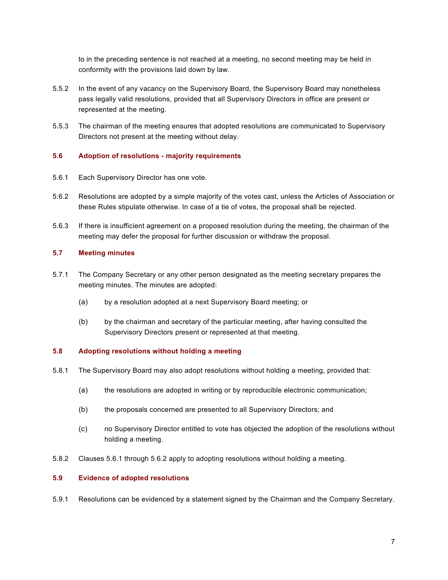to in the preceding sentence is not reached at a meeting, no second meeting may be held in conformity with the provisions laid down by law.

- 5.5.2 In the event of any vacancy on the Supervisory Board, the Supervisory Board may nonetheless pass legally valid resolutions, provided that all Supervisory Directors in office are present or represented at the meeting.
- 5.5.3 The chairman of the meeting ensures that adopted resolutions are communicated to Supervisory Directors not present at the meeting without delay.

#### <span id="page-6-0"></span>**5.6 Adoption of resolutions - majority requirements**

- <span id="page-6-4"></span>5.6.1 Each Supervisory Director has one vote.
- 5.6.2 Resolutions are adopted by a simple majority of the votes cast, unless the Articles of Association or these Rules stipulate otherwise. In case of a tie of votes, the proposal shall be rejected.
- 5.6.3 If there is insufficient agreement on a proposed resolution during the meeting, the chairman of the meeting may defer the proposal for further discussion or withdraw the proposal.

#### <span id="page-6-1"></span>**5.7 Meeting minutes**

- 5.7.1 The Company Secretary or any other person designated as the meeting secretary prepares the meeting minutes. The minutes are adopted:
	- (a) by a resolution adopted at a next Supervisory Board meeting; or
	- (b) by the chairman and secretary of the particular meeting, after having consulted the Supervisory Directors present or represented at that meeting.

#### <span id="page-6-2"></span>**5.8 Adopting resolutions without holding a meeting**

- 5.8.1 The Supervisory Board may also adopt resolutions without holding a meeting, provided that:
	- (a) the resolutions are adopted in writing or by reproducible electronic communication;
	- (b) the proposals concerned are presented to all Supervisory Directors; and
	- (c) no Supervisory Director entitled to vote has objected the adoption of the resolutions without holding a meeting.
- 5.8.2 Clauses [5.6.1](#page-6-4) through 5.6.2 apply to adopting resolutions without holding a meeting.

#### <span id="page-6-3"></span>**5.9 Evidence of adopted resolutions**

5.9.1 Resolutions can be evidenced by a statement signed by the Chairman and the Company Secretary.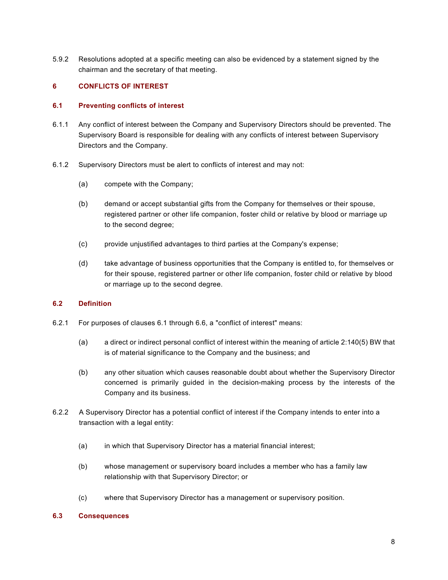5.9.2 Resolutions adopted at a specific meeting can also be evidenced by a statement signed by the chairman and the secretary of that meeting.

### <span id="page-7-0"></span>**6 CONFLICTS OF INTEREST**

#### <span id="page-7-1"></span>**6.1 Preventing conflicts of interest**

- 6.1.1 Any conflict of interest between the Company and Supervisory Directors should be prevented. The Supervisory Board is responsible for dealing with any conflicts of interest between Supervisory Directors and the Company.
- 6.1.2 Supervisory Directors must be alert to conflicts of interest and may not:
	- (a) compete with the Company;
	- (b) demand or accept substantial gifts from the Company for themselves or their spouse, registered partner or other life companion, foster child or relative by blood or marriage up to the second degree;
	- (c) provide unjustified advantages to third parties at the Company's expense;
	- (d) take advantage of business opportunities that the Company is entitled to, for themselves or for their spouse, registered partner or other life companion, foster child or relative by blood or marriage up to the second degree.

#### <span id="page-7-2"></span>**6.2 Definition**

- 6.2.1 For purposes of clauses [6.1](#page-7-1) through 6.6, a "conflict of interest" means:
	- (a) a direct or indirect personal conflict of interest within the meaning of article 2:140(5) BW that is of material significance to the Company and the business; and
	- (b) any other situation which causes reasonable doubt about whether the Supervisory Director concerned is primarily guided in the decision-making process by the interests of the Company and its business.
- 6.2.2 A Supervisory Director has a potential conflict of interest if the Company intends to enter into a transaction with a legal entity:
	- (a) in which that Supervisory Director has a material financial interest;
	- (b) whose management or supervisory board includes a member who has a family law relationship with that Supervisory Director; or
	- (c) where that Supervisory Director has a management or supervisory position.

#### <span id="page-7-3"></span>**6.3 Consequences**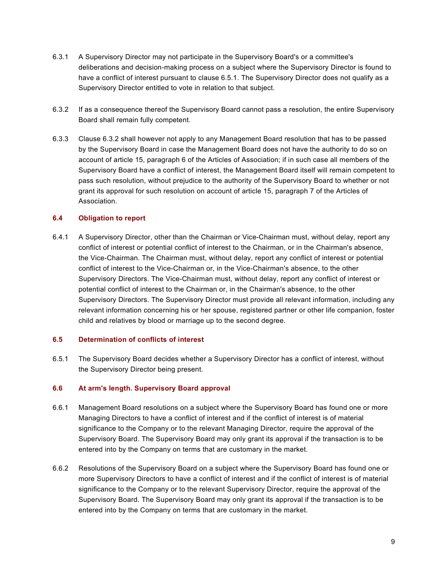- 6.3.1 A Supervisory Director may not participate in the Supervisory Board's or a committee's deliberations and decision-making process on a subject where the Supervisory Director is found to have a conflict of interest pursuant to clause [6.5.1.](#page-8-3) The Supervisory Director does not qualify as a Supervisory Director entitled to vote in relation to that subject.
- <span id="page-8-4"></span>6.3.2 If as a consequence thereof the Supervisory Board cannot pass a resolution, the entire Supervisory Board shall remain fully competent.
- 6.3.3 Clause [6.3.2](#page-8-4) shall however not apply to any Management Board resolution that has to be passed by the Supervisory Board in case the Management Board does not have the authority to do so on account of article 15, paragraph 6 of the Articles of Association; if in such case all members of the Supervisory Board have a conflict of interest, the Management Board itself will remain competent to pass such resolution, without prejudice to the authority of the Supervisory Board to whether or not grant its approval for such resolution on account of article 15, paragraph 7 of the Articles of Association.

## <span id="page-8-0"></span>**6.4 Obligation to report**

6.4.1 A Supervisory Director, other than the Chairman or Vice-Chairman must, without delay, report any conflict of interest or potential conflict of interest to the Chairman, or in the Chairman's absence, the Vice-Chairman. The Chairman must, without delay, report any conflict of interest or potential conflict of interest to the Vice-Chairman or, in the Vice-Chairman's absence, to the other Supervisory Directors. The Vice-Chairman must, without delay, report any conflict of interest or potential conflict of interest to the Chairman or, in the Chairman's absence, to the other Supervisory Directors. The Supervisory Director must provide all relevant information, including any relevant information concerning his or her spouse, registered partner or other life companion, foster child and relatives by blood or marriage up to the second degree.

### <span id="page-8-1"></span>**6.5 Determination of conflicts of interest**

<span id="page-8-3"></span>6.5.1 The Supervisory Board decides whether a Supervisory Director has a conflict of interest, without the Supervisory Director being present.

### <span id="page-8-2"></span>**6.6 At arm's length. Supervisory Board approval**

- 6.6.1 Management Board resolutions on a subject where the Supervisory Board has found one or more Managing Directors to have a conflict of interest and if the conflict of interest is of material significance to the Company or to the relevant Managing Director, require the approval of the Supervisory Board. The Supervisory Board may only grant its approval if the transaction is to be entered into by the Company on terms that are customary in the market.
- 6.6.2 Resolutions of the Supervisory Board on a subject where the Supervisory Board has found one or more Supervisory Directors to have a conflict of interest and if the conflict of interest is of material significance to the Company or to the relevant Supervisory Director, require the approval of the Supervisory Board. The Supervisory Board may only grant its approval if the transaction is to be entered into by the Company on terms that are customary in the market.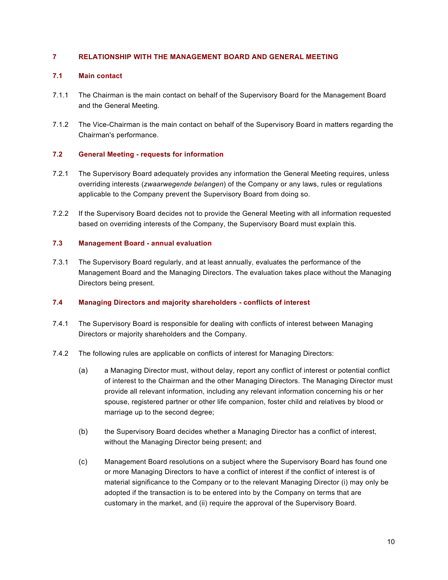## <span id="page-9-0"></span>**7 RELATIONSHIP WITH THE MANAGEMENT BOARD AND GENERAL MEETING**

## <span id="page-9-1"></span>**7.1 Main contact**

- 7.1.1 The Chairman is the main contact on behalf of the Supervisory Board for the Management Board and the General Meeting.
- 7.1.2 The Vice-Chairman is the main contact on behalf of the Supervisory Board in matters regarding the Chairman's performance.

## <span id="page-9-2"></span>**7.2 General Meeting - requests for information**

- 7.2.1 The Supervisory Board adequately provides any information the General Meeting requires, unless overriding interests (*zwaarwegende belangen*) of the Company or any laws, rules or regulations applicable to the Company prevent the Supervisory Board from doing so.
- 7.2.2 If the Supervisory Board decides not to provide the General Meeting with all information requested based on overriding interests of the Company, the Supervisory Board must explain this.

## <span id="page-9-3"></span>**7.3 Management Board - annual evaluation**

7.3.1 The Supervisory Board regularly, and at least annually, evaluates the performance of the Management Board and the Managing Directors. The evaluation takes place without the Managing Directors being present.

## <span id="page-9-4"></span>**7.4 Managing Directors and majority shareholders - conflicts of interest**

- 7.4.1 The Supervisory Board is responsible for dealing with conflicts of interest between Managing Directors or majority shareholders and the Company.
- 7.4.2 The following rules are applicable on conflicts of interest for Managing Directors:
	- (a) a Managing Director must, without delay, report any conflict of interest or potential conflict of interest to the Chairman and the other Managing Directors. The Managing Director must provide all relevant information, including any relevant information concerning his or her spouse, registered partner or other life companion, foster child and relatives by blood or marriage up to the second degree;
	- (b) the Supervisory Board decides whether a Managing Director has a conflict of interest, without the Managing Director being present; and
	- (c) Management Board resolutions on a subject where the Supervisory Board has found one or more Managing Directors to have a conflict of interest if the conflict of interest is of material significance to the Company or to the relevant Managing Director (i) may only be adopted if the transaction is to be entered into by the Company on terms that are customary in the market, and (ii) require the approval of the Supervisory Board.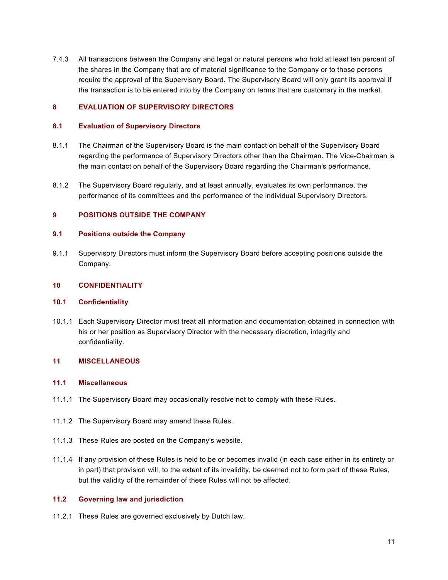7.4.3 All transactions between the Company and legal or natural persons who hold at least ten percent of the shares in the Company that are of material significance to the Company or to those persons require the approval of the Supervisory Board. The Supervisory Board will only grant its approval if the transaction is to be entered into by the Company on terms that are customary in the market.

## <span id="page-10-0"></span>**8 EVALUATION OF SUPERVISORY DIRECTORS**

#### <span id="page-10-1"></span>**8.1 Evaluation of Supervisory Directors**

- 8.1.1 The Chairman of the Supervisory Board is the main contact on behalf of the Supervisory Board regarding the performance of Supervisory Directors other than the Chairman. The Vice-Chairman is the main contact on behalf of the Supervisory Board regarding the Chairman's performance.
- 8.1.2 The Supervisory Board regularly, and at least annually, evaluates its own performance, the performance of its committees and the performance of the individual Supervisory Directors.

## <span id="page-10-2"></span>**9 POSITIONS OUTSIDE THE COMPANY**

#### <span id="page-10-3"></span>**9.1 Positions outside the Company**

9.1.1 Supervisory Directors must inform the Supervisory Board before accepting positions outside the Company.

#### <span id="page-10-4"></span>**10 CONFIDENTIALITY**

#### <span id="page-10-5"></span>**10.1 Confidentiality**

10.1.1 Each Supervisory Director must treat all information and documentation obtained in connection with his or her position as Supervisory Director with the necessary discretion, integrity and confidentiality.

## <span id="page-10-6"></span>**11 MISCELLANEOUS**

#### <span id="page-10-7"></span>**11.1 Miscellaneous**

- 11.1.1 The Supervisory Board may occasionally resolve not to comply with these Rules.
- 11.1.2 The Supervisory Board may amend these Rules.
- 11.1.3 These Rules are posted on the Company's website.
- 11.1.4 If any provision of these Rules is held to be or becomes invalid (in each case either in its entirety or in part) that provision will, to the extent of its invalidity, be deemed not to form part of these Rules, but the validity of the remainder of these Rules will not be affected.

## <span id="page-10-8"></span>**11.2 Governing law and jurisdiction**

11.2.1 These Rules are governed exclusively by Dutch law.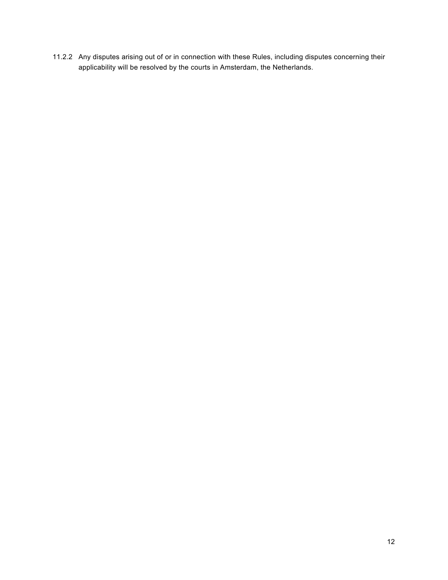11.2.2 Any disputes arising out of or in connection with these Rules, including disputes concerning their applicability will be resolved by the courts in Amsterdam, the Netherlands.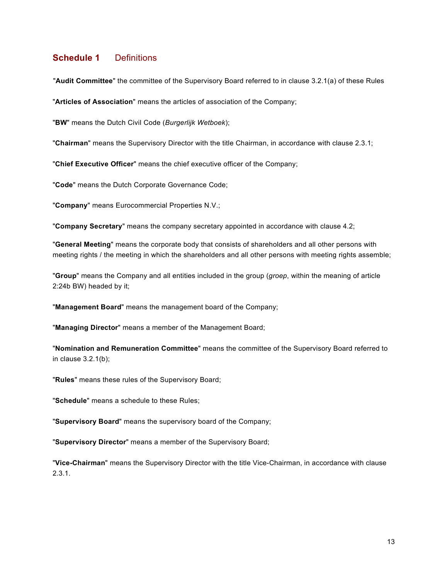# <span id="page-12-0"></span>**Schedule 1** Definitions

"**Audit Committee**" the committee of the Supervisory Board referred to in clause [3.2.1](#page-4-6)[\(a\)](#page-4-7) of these Rules

"**Articles of Association**" means the articles of association of the Company;

"**BW**" means the Dutch Civil Code (*Burgerlijk Wetboek*);

"**Chairman**" means the Supervisory Director with the title Chairman, in accordance with clause [2.3.1;](#page-3-9)

"**Chief Executive Officer**" means the chief executive officer of the Company;

"**Code**" means the Dutch Corporate Governance Code;

"**Company**" means Eurocommercial Properties N.V.;

"**Company Secretary**" means the company secretary appointed in accordance with clause 4.2;

"**General Meeting**" means the corporate body that consists of shareholders and all other persons with meeting rights / the meeting in which the shareholders and all other persons with meeting rights assemble;

"**Group**" means the Company and all entities included in the group (*groep*, within the meaning of article 2:24b BW) headed by it;

"**Management Board**" means the management board of the Company;

"**Managing Director**" means a member of the Management Board;

"**Nomination and Remuneration Committee**" means the committee of the Supervisory Board referred to in clause [3.2.1](#page-4-6)[\(b\);](#page-4-8)

"**Rules**" means these rules of the Supervisory Board;

"**Schedule**" means a schedule to these Rules;

"**Supervisory Board**" means the supervisory board of the Company;

"**Supervisory Director**" means a member of the Supervisory Board;

"**Vice-Chairman**" means the Supervisory Director with the title Vice-Chairman, in accordance with clause [2.3.1.](#page-3-9)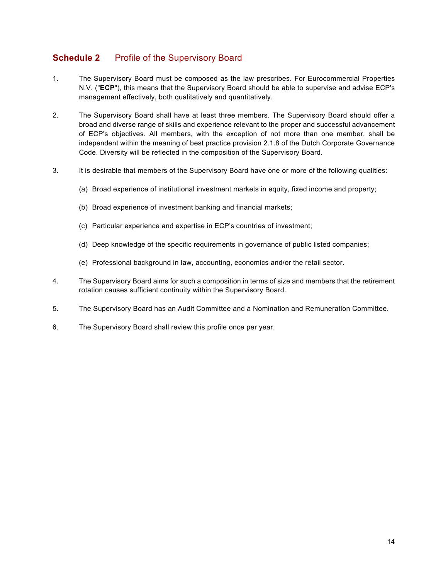# <span id="page-13-0"></span>**Schedule 2** Profile of the Supervisory Board

- 1. The Supervisory Board must be composed as the law prescribes. For Eurocommercial Properties N.V. ("**ECP**"), this means that the Supervisory Board should be able to supervise and advise ECP's management effectively, both qualitatively and quantitatively.
- 2. The Supervisory Board shall have at least three members. The Supervisory Board should offer a broad and diverse range of skills and experience relevant to the proper and successful advancement of ECP's objectives. All members, with the exception of not more than one member, shall be independent within the meaning of best practice provision 2.1.8 of the Dutch Corporate Governance Code. Diversity will be reflected in the composition of the Supervisory Board.
- 3. It is desirable that members of the Supervisory Board have one or more of the following qualities:
	- (a) Broad experience of institutional investment markets in equity, fixed income and property;
	- (b) Broad experience of investment banking and financial markets;
	- (c) Particular experience and expertise in ECP's countries of investment;
	- (d) Deep knowledge of the specific requirements in governance of public listed companies;
	- (e) Professional background in law, accounting, economics and/or the retail sector.
- 4. The Supervisory Board aims for such a composition in terms of size and members that the retirement rotation causes sufficient continuity within the Supervisory Board.
- 5. The Supervisory Board has an Audit Committee and a Nomination and Remuneration Committee.
- 6. The Supervisory Board shall review this profile once per year.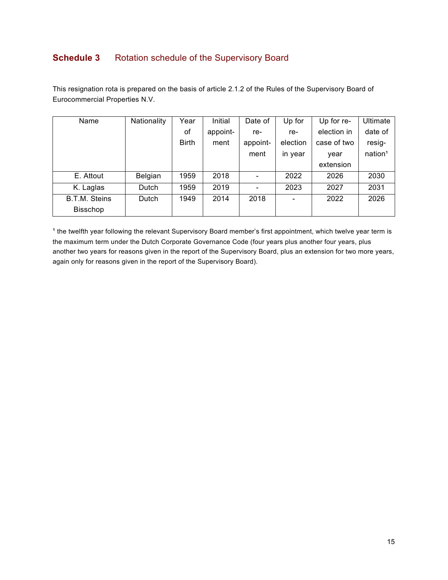# <span id="page-14-0"></span>**Schedule 3** Rotation schedule of the Supervisory Board

This resignation rota is prepared on the basis of article 2.1.2 of the Rules of the Supervisory Board of Eurocommercial Properties N.V.

| Name                 | Nationality | Year         | Initial  | Date of  | Up for                   | Up for re-  | Ultimate            |
|----------------------|-------------|--------------|----------|----------|--------------------------|-------------|---------------------|
|                      |             | of           | appoint- | re-      | re-                      | election in | date of             |
|                      |             | <b>Birth</b> | ment     | appoint- | election                 | case of two | resig-              |
|                      |             |              |          | ment     | in year                  | year        | nation <sup>1</sup> |
|                      |             |              |          |          |                          | extension   |                     |
| E. Attout            | Belgian     | 1959         | 2018     |          | 2022                     | 2026        | 2030                |
| K. Laglas            | Dutch       | 1959         | 2019     |          | 2023                     | 2027        | 2031                |
| <b>B.T.M. Steins</b> | Dutch       | 1949         | 2014     | 2018     | $\overline{\phantom{0}}$ | 2022        | 2026                |
| <b>Bisschop</b>      |             |              |          |          |                          |             |                     |

<sup>1</sup> the twelfth year following the relevant Supervisory Board member's first appointment, which twelve year term is the maximum term under the Dutch Corporate Governance Code (four years plus another four years, plus another two years for reasons given in the report of the Supervisory Board, plus an extension for two more years, again only for reasons given in the report of the Supervisory Board).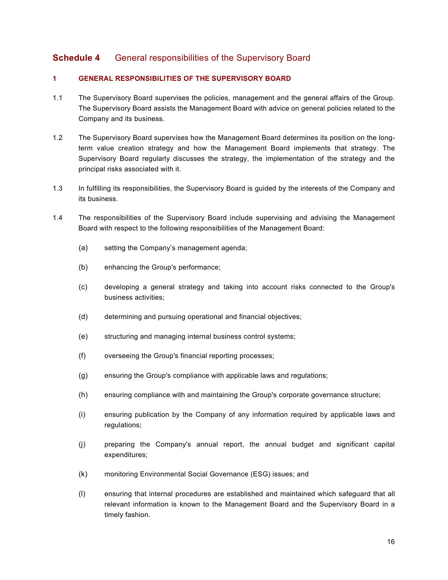# <span id="page-15-0"></span>**Schedule 4** General responsibilities of the Supervisory Board

## **1 GENERAL RESPONSIBILITIES OF THE SUPERVISORY BOARD**

- 1.1 The Supervisory Board supervises the policies, management and the general affairs of the Group. The Supervisory Board assists the Management Board with advice on general policies related to the Company and its business.
- 1.2 The Supervisory Board supervises how the Management Board determines its position on the longterm value creation strategy and how the Management Board implements that strategy. The Supervisory Board regularly discusses the strategy, the implementation of the strategy and the principal risks associated with it.
- 1.3 In fulfilling its responsibilities, the Supervisory Board is guided by the interests of the Company and its business.
- 1.4 The responsibilities of the Supervisory Board include supervising and advising the Management Board with respect to the following responsibilities of the Management Board:
	- (a) setting the Company's management agenda;
	- (b) enhancing the Group's performance;
	- (c) developing a general strategy and taking into account risks connected to the Group's business activities;
	- (d) determining and pursuing operational and financial objectives;
	- (e) structuring and managing internal business control systems;
	- (f) overseeing the Group's financial reporting processes;
	- (g) ensuring the Group's compliance with applicable laws and regulations;
	- (h) ensuring compliance with and maintaining the Group's corporate governance structure;
	- (i) ensuring publication by the Company of any information required by applicable laws and regulations;
	- (j) preparing the Company's annual report, the annual budget and significant capital expenditures;
	- (k) monitoring Environmental Social Governance (ESG) issues; and
	- (l) ensuring that internal procedures are established and maintained which safeguard that all relevant information is known to the Management Board and the Supervisory Board in a timely fashion.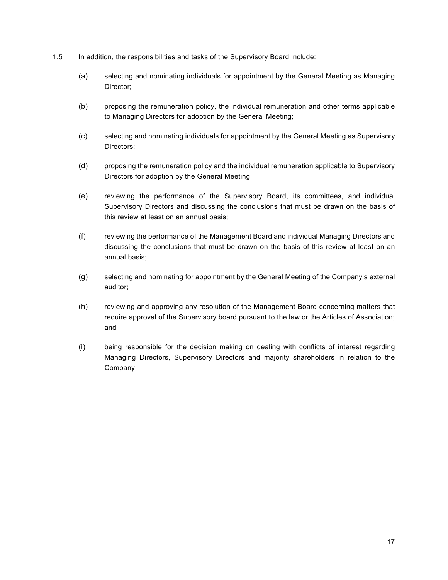- 1.5 In addition, the responsibilities and tasks of the Supervisory Board include:
	- (a) selecting and nominating individuals for appointment by the General Meeting as Managing Director;
	- (b) proposing the remuneration policy, the individual remuneration and other terms applicable to Managing Directors for adoption by the General Meeting;
	- (c) selecting and nominating individuals for appointment by the General Meeting as Supervisory Directors;
	- (d) proposing the remuneration policy and the individual remuneration applicable to Supervisory Directors for adoption by the General Meeting;
	- (e) reviewing the performance of the Supervisory Board, its committees, and individual Supervisory Directors and discussing the conclusions that must be drawn on the basis of this review at least on an annual basis;
	- (f) reviewing the performance of the Management Board and individual Managing Directors and discussing the conclusions that must be drawn on the basis of this review at least on an annual basis;
	- (g) selecting and nominating for appointment by the General Meeting of the Company's external auditor;
	- (h) reviewing and approving any resolution of the Management Board concerning matters that require approval of the Supervisory board pursuant to the law or the Articles of Association; and
	- (i) being responsible for the decision making on dealing with conflicts of interest regarding Managing Directors, Supervisory Directors and majority shareholders in relation to the Company.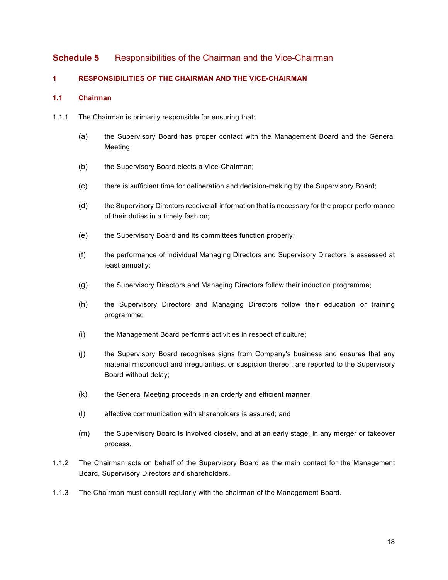# <span id="page-17-0"></span>**Schedule 5** Responsibilities of the Chairman and the Vice-Chairman

## **1 RESPONSIBILITIES OF THE CHAIRMAN AND THE VICE-CHAIRMAN**

## **1.1 Chairman**

- 1.1.1 The Chairman is primarily responsible for ensuring that:
	- (a) the Supervisory Board has proper contact with the Management Board and the General Meeting;
	- (b) the Supervisory Board elects a Vice-Chairman;
	- (c) there is sufficient time for deliberation and decision-making by the Supervisory Board;
	- (d) the Supervisory Directors receive all information that is necessary for the proper performance of their duties in a timely fashion;
	- (e) the Supervisory Board and its committees function properly;
	- (f) the performance of individual Managing Directors and Supervisory Directors is assessed at least annually;
	- (g) the Supervisory Directors and Managing Directors follow their induction programme;
	- (h) the Supervisory Directors and Managing Directors follow their education or training programme;
	- (i) the Management Board performs activities in respect of culture;
	- (j) the Supervisory Board recognises signs from Company's business and ensures that any material misconduct and irregularities, or suspicion thereof, are reported to the Supervisory Board without delay;
	- (k) the General Meeting proceeds in an orderly and efficient manner;
	- (l) effective communication with shareholders is assured; and
	- (m) the Supervisory Board is involved closely, and at an early stage, in any merger or takeover process.
- 1.1.2 The Chairman acts on behalf of the Supervisory Board as the main contact for the Management Board, Supervisory Directors and shareholders.
- 1.1.3 The Chairman must consult regularly with the chairman of the Management Board.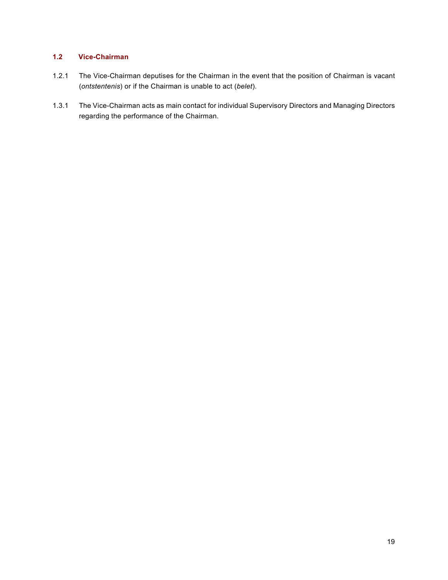## **1.2 Vice-Chairman**

- 1.2.1 The Vice-Chairman deputises for the Chairman in the event that the position of Chairman is vacant (*ontstentenis*) or if the Chairman is unable to act (*belet*).
- 1.3.1 The Vice-Chairman acts as main contact for individual Supervisory Directors and Managing Directors regarding the performance of the Chairman.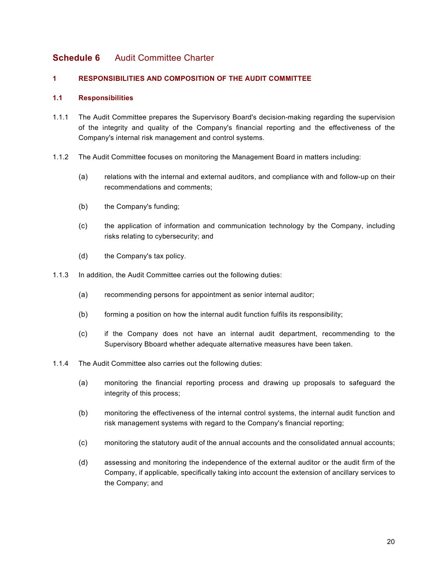# <span id="page-19-0"></span>**Schedule 6** Audit Committee Charter

## **1 RESPONSIBILITIES AND COMPOSITION OF THE AUDIT COMMITTEE**

## **1.1 Responsibilities**

- 1.1.1 The Audit Committee prepares the Supervisory Board's decision-making regarding the supervision of the integrity and quality of the Company's financial reporting and the effectiveness of the Company's internal risk management and control systems.
- 1.1.2 The Audit Committee focuses on monitoring the Management Board in matters including:
	- (a) relations with the internal and external auditors, and compliance with and follow-up on their recommendations and comments;
	- (b) the Company's funding;
	- (c) the application of information and communication technology by the Company, including risks relating to cybersecurity; and
	- (d) the Company's tax policy.
- 1.1.3 In addition, the Audit Committee carries out the following duties:
	- (a) recommending persons for appointment as senior internal auditor;
	- (b) forming a position on how the internal audit function fulfils its responsibility;
	- (c) if the Company does not have an internal audit department, recommending to the Supervisory Bboard whether adequate alternative measures have been taken.
- 1.1.4 The Audit Committee also carries out the following duties:
	- (a) monitoring the financial reporting process and drawing up proposals to safeguard the integrity of this process;
	- (b) monitoring the effectiveness of the internal control systems, the internal audit function and risk management systems with regard to the Company's financial reporting;
	- (c) monitoring the statutory audit of the annual accounts and the consolidated annual accounts;
	- (d) assessing and monitoring the independence of the external auditor or the audit firm of the Company, if applicable, specifically taking into account the extension of ancillary services to the Company; and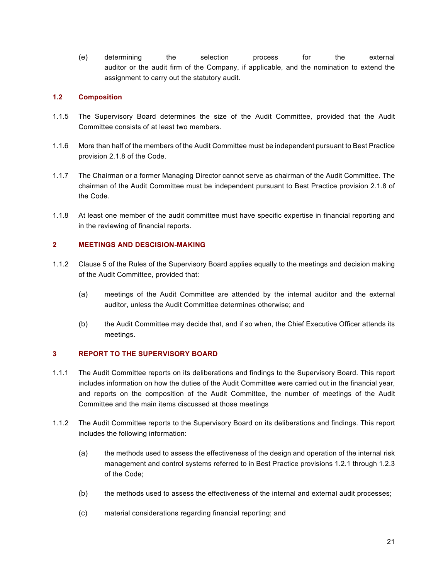(e) determining the selection process for the external auditor or the audit firm of the Company, if applicable, and the nomination to extend the assignment to carry out the statutory audit.

## **1.2 Composition**

- 1.1.5 The Supervisory Board determines the size of the Audit Committee, provided that the Audit Committee consists of at least two members.
- 1.1.6 More than half of the members of the Audit Committee must be independent pursuant to Best Practice provision 2.1.8 of the Code.
- 1.1.7 The Chairman or a former Managing Director cannot serve as chairman of the Audit Committee. The chairman of the Audit Committee must be independent pursuant to Best Practice provision 2.1.8 of the Code.
- 1.1.8 At least one member of the audit committee must have specific expertise in financial reporting and in the reviewing of financial reports.

## **2 MEETINGS AND DESCISION-MAKING**

- 1.1.2 Clause 5 of the Rules of the Supervisory Board applies equally to the meetings and decision making of the Audit Committee, provided that:
	- (a) meetings of the Audit Committee are attended by the internal auditor and the external auditor, unless the Audit Committee determines otherwise; and
	- (b) the Audit Committee may decide that, and if so when, the Chief Executive Officer attends its meetings.

### **3 REPORT TO THE SUPERVISORY BOARD**

- 1.1.1 The Audit Committee reports on its deliberations and findings to the Supervisory Board. This report includes information on how the duties of the Audit Committee were carried out in the financial year, and reports on the composition of the Audit Committee, the number of meetings of the Audit Committee and the main items discussed at those meetings
- 1.1.2 The Audit Committee reports to the Supervisory Board on its deliberations and findings. This report includes the following information:
	- (a) the methods used to assess the effectiveness of the design and operation of the internal risk management and control systems referred to in Best Practice provisions 1.2.1 through 1.2.3 of the Code;
	- (b) the methods used to assess the effectiveness of the internal and external audit processes;
	- (c) material considerations regarding financial reporting; and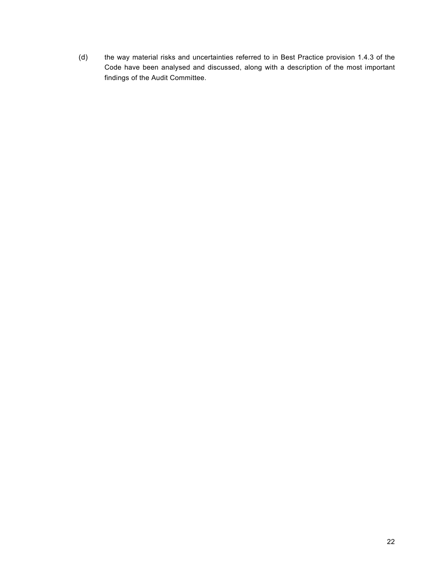(d) the way material risks and uncertainties referred to in Best Practice provision 1.4.3 of the Code have been analysed and discussed, along with a description of the most important findings of the Audit Committee.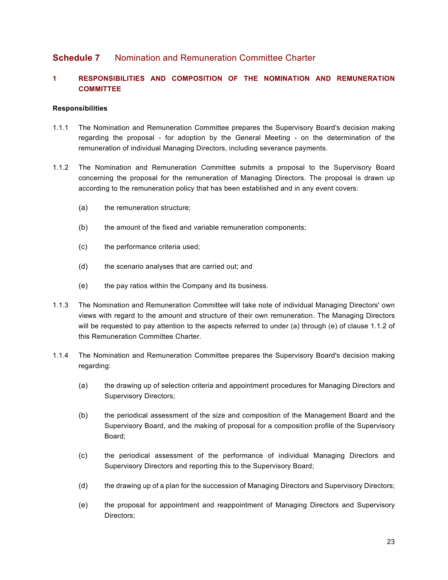## <span id="page-22-0"></span>**Schedule 7** Nomination and Remuneration Committee Charter

## **1 RESPONSIBILITIES AND COMPOSITION OF THE NOMINATION AND REMUNERATION COMMITTEE**

#### **Responsibilities**

- 1.1.1 The Nomination and Remuneration Committee prepares the Supervisory Board's decision making regarding the proposal - for adoption by the General Meeting - on the determination of the remuneration of individual Managing Directors, including severance payments.
- <span id="page-22-1"></span>1.1.2 The Nomination and Remuneration Committee submits a proposal to the Supervisory Board concerning the proposal for the remuneration of Managing Directors. The proposal is drawn up according to the remuneration policy that has been established and in any event covers:
	- (a) the remuneration structure;
	- (b) the amount of the fixed and variable remuneration components;
	- (c) the performance criteria used;
	- (d) the scenario analyses that are carried out; and
	- (e) the pay ratios within the Company and its business.
- 1.1.3 The Nomination and Remuneration Committee will take note of individual Managing Directors' own views with regard to the amount and structure of their own remuneration. The Managing Directors will be requested to pay attention to the aspects referred to under (a) through (e) of clause [1.1.2](#page-22-1) of this Remuneration Committee Charter.
- 1.1.4 The Nomination and Remuneration Committee prepares the Supervisory Board's decision making regarding:
	- (a) the drawing up of selection criteria and appointment procedures for Managing Directors and Supervisory Directors;
	- (b) the periodical assessment of the size and composition of the Management Board and the Supervisory Board, and the making of proposal for a composition profile of the Supervisory Board;
	- (c) the periodical assessment of the performance of individual Managing Directors and Supervisory Directors and reporting this to the Supervisory Board;
	- (d) the drawing up of a plan for the succession of Managing Directors and Supervisory Directors;
	- (e) the proposal for appointment and reappointment of Managing Directors and Supervisory Directors;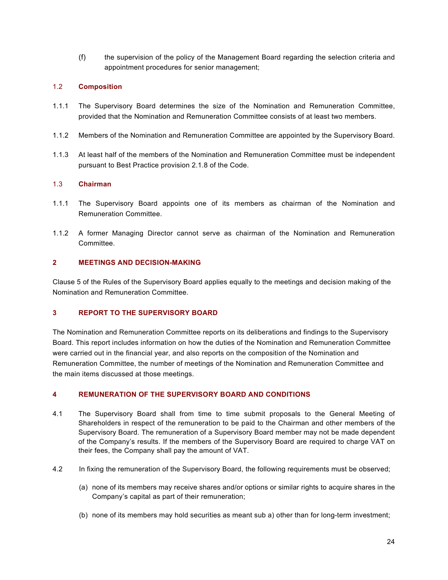(f) the supervision of the policy of the Management Board regarding the selection criteria and appointment procedures for senior management;

## 1.2 **Composition**

- 1.1.1 The Supervisory Board determines the size of the Nomination and Remuneration Committee, provided that the Nomination and Remuneration Committee consists of at least two members.
- 1.1.2 Members of the Nomination and Remuneration Committee are appointed by the Supervisory Board.
- 1.1.3 At least half of the members of the Nomination and Remuneration Committee must be independent pursuant to Best Practice provision 2.1.8 of the Code.

## 1.3 **Chairman**

- 1.1.1 The Supervisory Board appoints one of its members as chairman of the Nomination and Remuneration Committee.
- 1.1.2 A former Managing Director cannot serve as chairman of the Nomination and Remuneration Committee.

## **2 MEETINGS AND DECISION-MAKING**

Clause 5 of the Rules of the Supervisory Board applies equally to the meetings and decision making of the Nomination and Remuneration Committee.

## **3 REPORT TO THE SUPERVISORY BOARD**

The Nomination and Remuneration Committee reports on its deliberations and findings to the Supervisory Board. This report includes information on how the duties of the Nomination and Remuneration Committee were carried out in the financial year, and also reports on the composition of the Nomination and Remuneration Committee, the number of meetings of the Nomination and Remuneration Committee and the main items discussed at those meetings.

## **4 REMUNERATION OF THE SUPERVISORY BOARD AND CONDITIONS**

- 4.1 The Supervisory Board shall from time to time submit proposals to the General Meeting of Shareholders in respect of the remuneration to be paid to the Chairman and other members of the Supervisory Board. The remuneration of a Supervisory Board member may not be made dependent of the Company's results. If the members of the Supervisory Board are required to charge VAT on their fees, the Company shall pay the amount of VAT.
- 4.2 In fixing the remuneration of the Supervisory Board, the following requirements must be observed;
	- (a) none of its members may receive shares and/or options or similar rights to acquire shares in the Company's capital as part of their remuneration;
	- (b) none of its members may hold securities as meant sub a) other than for long-term investment;